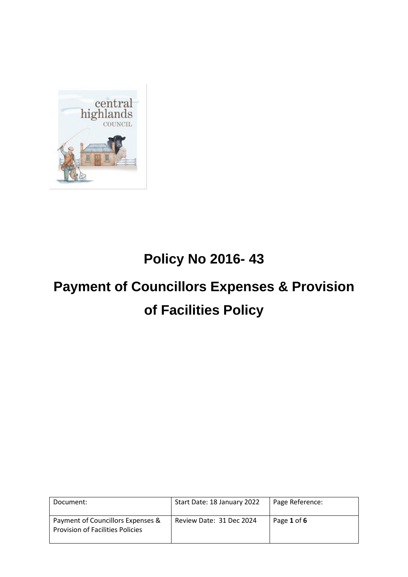

# **Policy No 2016- 43**

# **Payment of Councillors Expenses & Provision of Facilities Policy**

| Document:                                                                    | Start Date: 18 January 2022 | Page Reference: |
|------------------------------------------------------------------------------|-----------------------------|-----------------|
| Payment of Councillors Expenses &<br><b>Provision of Facilities Policies</b> | Review Date: 31 Dec 2024    | Page 1 of 6     |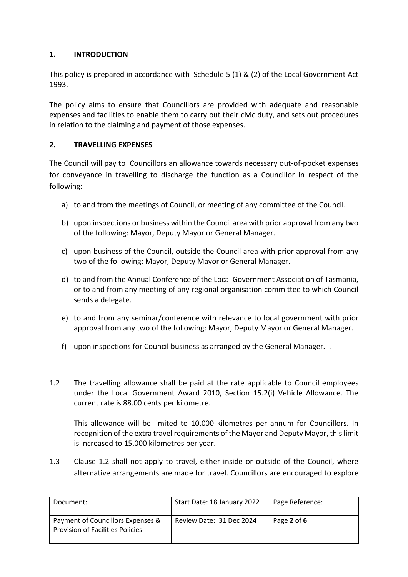# **1. INTRODUCTION**

This policy is prepared in accordance with Schedule 5 (1) & (2) of the Local Government Act 1993.

The policy aims to ensure that Councillors are provided with adequate and reasonable expenses and facilities to enable them to carry out their civic duty, and sets out procedures in relation to the claiming and payment of those expenses.

# **2. TRAVELLING EXPENSES**

The Council will pay to Councillors an allowance towards necessary out-of-pocket expenses for conveyance in travelling to discharge the function as a Councillor in respect of the following:

- a) to and from the meetings of Council, or meeting of any committee of the Council.
- b) upon inspections or business within the Council area with prior approval from any two of the following: Mayor, Deputy Mayor or General Manager.
- c) upon business of the Council, outside the Council area with prior approval from any two of the following: Mayor, Deputy Mayor or General Manager.
- d) to and from the Annual Conference of the Local Government Association of Tasmania, or to and from any meeting of any regional organisation committee to which Council sends a delegate.
- e) to and from any seminar/conference with relevance to local government with prior approval from any two of the following: Mayor, Deputy Mayor or General Manager.
- f) upon inspections for Council business as arranged by the General Manager. .
- 1.2 The travelling allowance shall be paid at the rate applicable to Council employees under the Local Government Award 2010, Section 15.2(i) Vehicle Allowance. The current rate is 88.00 cents per kilometre.

This allowance will be limited to 10,000 kilometres per annum for Councillors. In recognition of the extra travel requirements of the Mayor and Deputy Mayor, this limit is increased to 15,000 kilometres per year.

1.3 Clause 1.2 shall not apply to travel, either inside or outside of the Council, where alternative arrangements are made for travel. Councillors are encouraged to explore

| Document:                                                                    | Start Date: 18 January 2022 | Page Reference: |
|------------------------------------------------------------------------------|-----------------------------|-----------------|
| Payment of Councillors Expenses &<br><b>Provision of Facilities Policies</b> | Review Date: 31 Dec 2024    | Page 2 of 6     |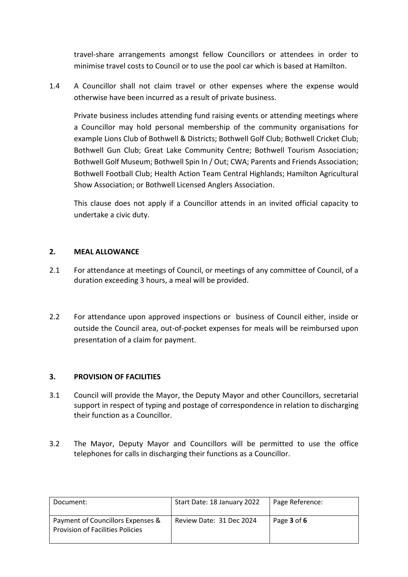travel-share arrangements amongst fellow Councillors or attendees in order to minimise travel costs to Council or to use the pool car which is based at Hamilton.

1.4 A Councillor shall not claim travel or other expenses where the expense would otherwise have been incurred as a result of private business.

Private business includes attending fund raising events or attending meetings where a Councillor may hold personal membership of the community organisations for example Lions Club of Bothwell & Districts; Bothwell Golf Club; Bothwell Cricket Club; Bothwell Gun Club; Great Lake Community Centre; Bothwell Tourism Association; Bothwell Golf Museum; Bothwell Spin In / Out; CWA; Parents and Friends Association; Bothwell Football Club; Health Action Team Central Highlands; Hamilton Agricultural Show Association; or Bothwell Licensed Anglers Association.

This clause does not apply if a Councillor attends in an invited official capacity to undertake a civic duty.

#### **2. MEAL ALLOWANCE**

- 2.1 For attendance at meetings of Council, or meetings of any committee of Council, of a duration exceeding 3 hours, a meal will be provided.
- 2.2 For attendance upon approved inspections or business of Council either, inside or outside the Council area, out-of-pocket expenses for meals will be reimbursed upon presentation of a claim for payment.

#### **3. PROVISION OF FACILITIES**

- 3.1 Council will provide the Mayor, the Deputy Mayor and other Councillors, secretarial support in respect of typing and postage of correspondence in relation to discharging their function as a Councillor.
- 3.2 The Mayor, Deputy Mayor and Councillors will be permitted to use the office telephones for calls in discharging their functions as a Councillor.

| Document:                                                                    | Start Date: 18 January 2022 | Page Reference: |
|------------------------------------------------------------------------------|-----------------------------|-----------------|
| Payment of Councillors Expenses &<br><b>Provision of Facilities Policies</b> | Review Date: 31 Dec 2024    | Page 3 of 6     |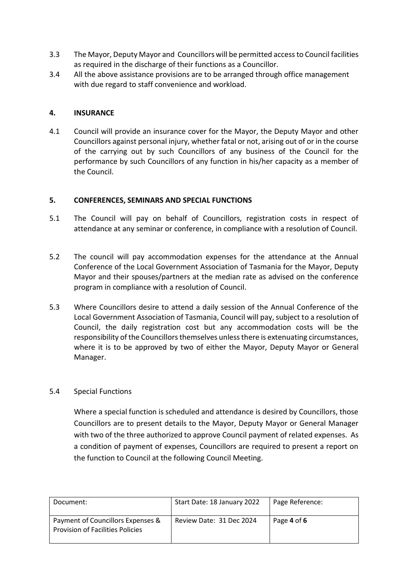- 3.3 The Mayor, Deputy Mayor and Councillors will be permitted access to Council facilities as required in the discharge of their functions as a Councillor.
- 3.4 All the above assistance provisions are to be arranged through office management with due regard to staff convenience and workload.

#### **4. INSURANCE**

4.1 Council will provide an insurance cover for the Mayor, the Deputy Mayor and other Councillors against personal injury, whether fatal or not, arising out of or in the course of the carrying out by such Councillors of any business of the Council for the performance by such Councillors of any function in his/her capacity as a member of the Council.

#### **5. CONFERENCES, SEMINARS AND SPECIAL FUNCTIONS**

- 5.1 The Council will pay on behalf of Councillors, registration costs in respect of attendance at any seminar or conference, in compliance with a resolution of Council.
- 5.2 The council will pay accommodation expenses for the attendance at the Annual Conference of the Local Government Association of Tasmania for the Mayor, Deputy Mayor and their spouses/partners at the median rate as advised on the conference program in compliance with a resolution of Council.
- 5.3 Where Councillors desire to attend a daily session of the Annual Conference of the Local Government Association of Tasmania, Council will pay, subject to a resolution of Council, the daily registration cost but any accommodation costs will be the responsibility of the Councillors themselves unless there is extenuating circumstances, where it is to be approved by two of either the Mayor, Deputy Mayor or General Manager.

#### 5.4 Special Functions

Where a special function is scheduled and attendance is desired by Councillors, those Councillors are to present details to the Mayor, Deputy Mayor or General Manager with two of the three authorized to approve Council payment of related expenses. As a condition of payment of expenses, Councillors are required to present a report on the function to Council at the following Council Meeting.

| Document:                                                                    | Start Date: 18 January 2022 | Page Reference: |
|------------------------------------------------------------------------------|-----------------------------|-----------------|
| Payment of Councillors Expenses &<br><b>Provision of Facilities Policies</b> | Review Date: 31 Dec 2024    | Page 4 of 6     |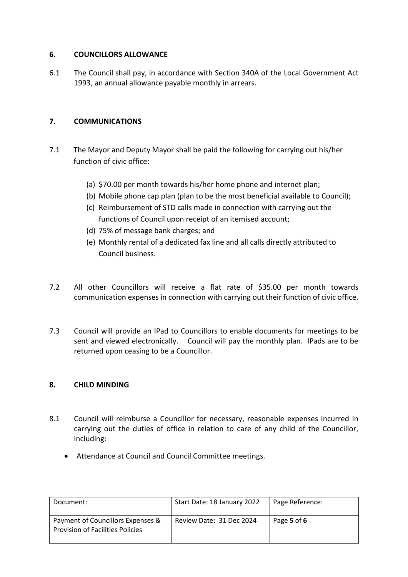#### **6. COUNCILLORS ALLOWANCE**

6.1 The Council shall pay, in accordance with Section 340A of the Local Government Act 1993, an annual allowance payable monthly in arrears.

# **7. COMMUNICATIONS**

- 7.1 The Mayor and Deputy Mayor shall be paid the following for carrying out his/her function of civic office:
	- (a) \$70.00 per month towards his/her home phone and internet plan;
	- (b) Mobile phone cap plan (plan to be the most beneficial available to Council);
	- (c) Reimbursement of STD calls made in connection with carrying out the functions of Council upon receipt of an itemised account;
	- (d) 75% of message bank charges; and
	- (e) Monthly rental of a dedicated fax line and all calls directly attributed to Council business.
- 7.2 All other Councillors will receive a flat rate of \$35.00 per month towards communication expenses in connection with carrying out their function of civic office.
- 7.3 Council will provide an IPad to Councillors to enable documents for meetings to be sent and viewed electronically. Council will pay the monthly plan. IPads are to be returned upon ceasing to be a Councillor.

# **8. CHILD MINDING**

- 8.1 Council will reimburse a Councillor for necessary, reasonable expenses incurred in carrying out the duties of office in relation to care of any child of the Councillor, including:
	- Attendance at Council and Council Committee meetings.

| Document:                                                                    | Start Date: 18 January 2022 | Page Reference: |
|------------------------------------------------------------------------------|-----------------------------|-----------------|
| Payment of Councillors Expenses &<br><b>Provision of Facilities Policies</b> | Review Date: 31 Dec 2024    | Page 5 of 6     |